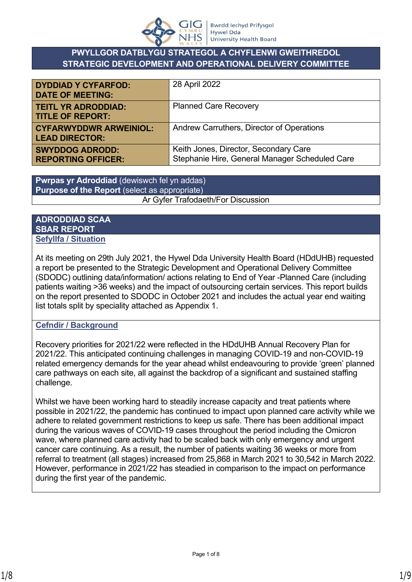

# **PWYLLGOR DATBLYGU STRATEGOL A CHYFLENWI GWEITHREDOL STRATEGIC DEVELOPMENT AND OPERATIONAL DELIVERY COMMITTEE**

| <b>DYDDIAD Y CYFARFOD:</b><br><b>DATE OF MEETING:</b>  | 28 April 2022                                                                           |
|--------------------------------------------------------|-----------------------------------------------------------------------------------------|
| <b>TEITL YR ADRODDIAD:</b><br><b>TITLE OF REPORT:</b>  | <b>Planned Care Recovery</b>                                                            |
| <b>CYFARWYDDWR ARWEINIOL:</b><br><b>LEAD DIRECTOR:</b> | Andrew Carruthers, Director of Operations                                               |
| <b>SWYDDOG ADRODD:</b><br><b>REPORTING OFFICER:</b>    | Keith Jones, Director, Secondary Care<br>Stephanie Hire, General Manager Scheduled Care |

**Pwrpas yr Adroddiad** (dewiswch fel yn addas) **Purpose of the Report** (select as appropriate) Ar Gyfer Trafodaeth/For Discussion

#### **ADRODDIAD SCAA SBAR REPORT Sefyllfa / Situation**

At its meeting on 29th July 2021, the Hywel Dda University Health Board (HDdUHB) requested a report be presented to the Strategic Development and Operational Delivery Committee (SDODC) outlining data/information/ actions relating to End of Year -Planned Care (including patients waiting >36 weeks) and the impact of outsourcing certain services. This report builds on the report presented to SDODC in October 2021 and includes the actual year end waiting list totals split by speciality attached as Appendix 1.

### **Cefndir / Background**

Recovery priorities for 2021/22 were reflected in the HDdUHB Annual Recovery Plan for 2021/22. This anticipated continuing challenges in managing COVID-19 and non-COVID-19 related emergency demands for the year ahead whilst endeavouring to provide 'green' planned care pathways on each site, all against the backdrop of a significant and sustained staffing challenge.

Whilst we have been working hard to steadily increase capacity and treat patients where possible in 2021/22, the pandemic has continued to impact upon planned care activity while we adhere to related government restrictions to keep us safe. There has been additional impact during the various waves of COVID-19 cases throughout the period including the Omicron wave, where planned care activity had to be scaled back with only emergency and urgent cancer care continuing. As a result, the number of patients waiting 36 weeks or more from referral to treatment (all stages) increased from 25,868 in March 2021 to 30,542 in March 2022. However, performance in 2021/22 has steadied in comparison to the impact on performance during the first year of the pandemic.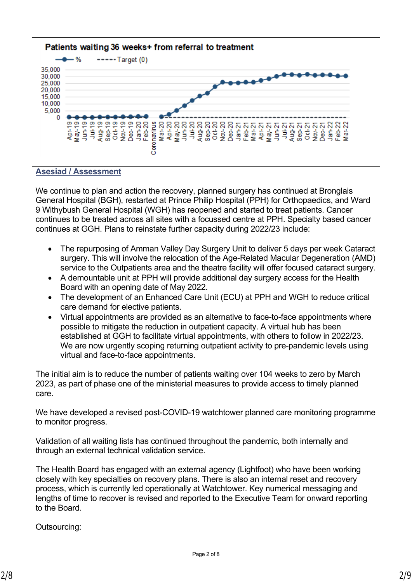

We continue to plan and action the recovery, planned surgery has continued at Bronglais General Hospital (BGH), restarted at Prince Philip Hospital (PPH) for Orthopaedics, and Ward 9 Withybush General Hospital (WGH) has reopened and started to treat patients. Cancer continues to be treated across all sites with a focussed centre at PPH. Specialty based cancer continues at GGH. Plans to reinstate further capacity during 2022/23 include:

- The repurposing of Amman Valley Day Surgery Unit to deliver 5 days per week Cataract surgery. This will involve the relocation of the Age-Related Macular Degeneration (AMD) service to the Outpatients area and the theatre facility will offer focused cataract surgery.
- A demountable unit at PPH will provide additional day surgery access for the Health Board with an opening date of May 2022.
- The development of an Enhanced Care Unit (ECU) at PPH and WGH to reduce critical care demand for elective patients.
- Virtual appointments are provided as an alternative to face-to-face appointments where possible to mitigate the reduction in outpatient capacity. A virtual hub has been established at GGH to facilitate virtual appointments, with others to follow in 2022/23. We are now urgently scoping returning outpatient activity to pre-pandemic levels using virtual and face-to-face appointments.

The initial aim is to reduce the number of patients waiting over 104 weeks to zero by March 2023, as part of phase one of the ministerial measures to provide access to timely planned care.

We have developed a revised post-COVID-19 watchtower planned care monitoring programme to monitor progress.

Validation of all waiting lists has continued throughout the pandemic, both internally and through an external technical validation service.

The Health Board has engaged with an external agency (Lightfoot) who have been working closely with key specialties on recovery plans. There is also an internal reset and recovery process, which is currently led operationally at Watchtower. Key numerical messaging and lengths of time to recover is revised and reported to the Executive Team for onward reporting to the Board.

Outsourcing: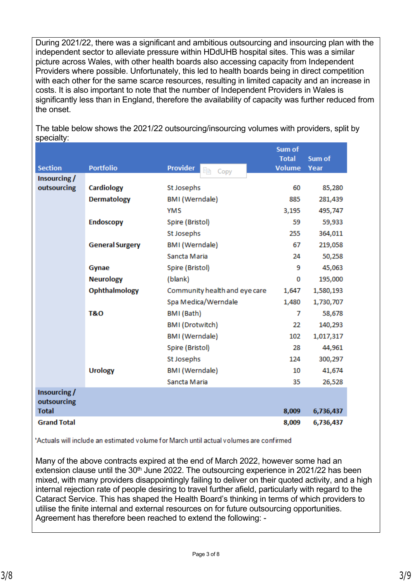During 2021/22, there was a significant and ambitious outsourcing and insourcing plan with the independent sector to alleviate pressure within HDdUHB hospital sites. This was a similar picture across Wales, with other health boards also accessing capacity from Independent Providers where possible. Unfortunately, this led to health boards being in direct competition with each other for the same scarce resources, resulting in limited capacity and an increase in costs. It is also important to note that the number of Independent Providers in Wales is significantly less than in England, therefore the availability of capacity was further reduced from the onset.

The table below shows the 2021/22 outsourcing/insourcing volumes with providers, split by specialty:

|                            |                        |                               | Sum of<br><b>Total</b> | Sum of    |
|----------------------------|------------------------|-------------------------------|------------------------|-----------|
| <b>Section</b>             | <b>Portfolio</b>       | <b>Provider</b><br>lig Copy   | <b>Volume</b>          | Year      |
| Insourcing/<br>outsourcing | <b>Cardiology</b>      | St Josephs                    | 60                     | 85,280    |
|                            | <b>Dermatology</b>     | BMI (Werndale)                | 885                    | 281,439   |
|                            |                        | <b>YMS</b>                    | 3,195                  | 495,747   |
|                            | <b>Endoscopy</b>       | Spire (Bristol)               | 59                     | 59,933    |
|                            |                        | St Josephs                    | 255                    | 364,011   |
|                            | <b>General Surgery</b> | BMI (Werndale)                | 67                     | 219,058   |
|                            |                        | Sancta Maria                  | 24                     | 50,258    |
|                            | Gynae                  | Spire (Bristol)               | 9                      | 45,063    |
|                            | <b>Neurology</b>       | (blank)                       | 0                      | 195,000   |
|                            | Ophthalmology          | Community health and eye care | 1,647                  | 1,580,193 |
|                            |                        | Spa Medica/Werndale           | 1,480                  | 1,730,707 |
|                            | <b>T&amp;O</b>         | BMI (Bath)                    | 7                      | 58,678    |
|                            |                        | <b>BMI</b> (Drotwitch)        | 22                     | 140,293   |
|                            |                        | BMI (Werndale)                | 102                    | 1,017,317 |
|                            |                        | Spire (Bristol)               | 28                     | 44,961    |
|                            |                        | St Josephs                    | 124                    | 300,297   |
|                            | <b>Urology</b>         | <b>BMI</b> (Werndale)         | 10                     | 41,674    |
|                            |                        | Sancta Maria                  | 35                     | 26,528    |
| Insourcing/<br>outsourcing |                        |                               |                        |           |
| <b>Total</b>               |                        |                               | 8,009                  | 6,736,437 |
| <b>Grand Total</b>         |                        |                               | 8,009                  | 6,736,437 |

\*Actuals will include an estimated volume for March until actual volumes are confirmed

Many of the above contracts expired at the end of March 2022, however some had an extension clause until the 30<sup>th</sup> June 2022. The outsourcing experience in 2021/22 has been mixed, with many providers disappointingly failing to deliver on their quoted activity, and a high internal rejection rate of people desiring to travel further afield, particularly with regard to the Cataract Service. This has shaped the Health Board's thinking in terms of which providers to utilise the finite internal and external resources on for future outsourcing opportunities. Agreement has therefore been reached to extend the following: -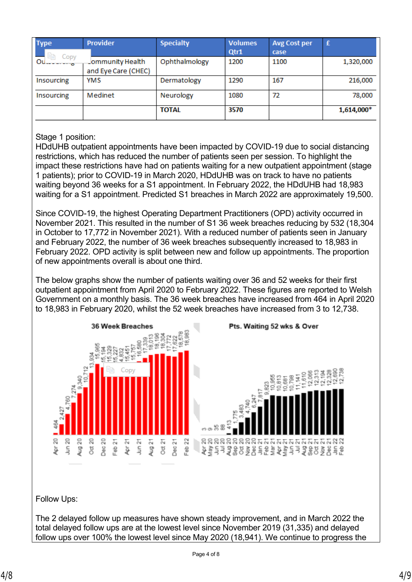| <b>Type</b>       | <b>Provider</b>     | <b>Specialty</b> | <b>Volumes</b> | <b>Avg Cost per</b> |              |
|-------------------|---------------------|------------------|----------------|---------------------|--------------|
| 瞺                 |                     |                  | Qtr1           | case                |              |
| Copy              | Jommunity Health    | Ophthalmology    | 1200           | 1100                | 1,320,000    |
|                   | and Eye Care (CHEC) |                  |                |                     |              |
| <b>Insourcing</b> | <b>YMS</b>          | Dermatology      | 1290           | 167                 | 216,000      |
| <b>Insourcing</b> | Medinet             | Neurology        | 1080           | 72                  | 78,000       |
|                   |                     | <b>TOTAL</b>     | 3570           |                     | $1,614,000*$ |

### Stage 1 position:

HDdUHB outpatient appointments have been impacted by COVID-19 due to social distancing restrictions, which has reduced the number of patients seen per session. To highlight the impact these restrictions have had on patients waiting for a new outpatient appointment (stage 1 patients); prior to COVID-19 in March 2020, HDdUHB was on track to have no patients waiting beyond 36 weeks for a S1 appointment. In February 2022, the HDdUHB had 18,983 waiting for a S1 appointment. Predicted S1 breaches in March 2022 are approximately 19,500.

Since COVID-19, the highest Operating Department Practitioners (OPD) activity occurred in November 2021. This resulted in the number of S1 36 week breaches reducing by 532 (18,304 in October to 17,772 in November 2021). With a reduced number of patients seen in January and February 2022, the number of 36 week breaches subsequently increased to 18,983 in February 2022. OPD activity is split between new and follow up appointments. The proportion of new appointments overall is about one third.

The below graphs show the number of patients waiting over 36 and 52 weeks for their first outpatient appointment from April 2020 to February 2022. These figures are reported to Welsh Government on a monthly basis. The 36 week breaches have increased from 464 in April 2020 to 18,983 in February 2020, whilst the 52 week breaches have increased from 3 to 12,738.



Follow Ups:

The 2 delayed follow up measures have shown steady improvement, and in March 2022 the total delayed follow ups are at the lowest level since November 2019 (31,335) and delayed follow ups over 100% the lowest level since May 2020 (18,941). We continue to progress the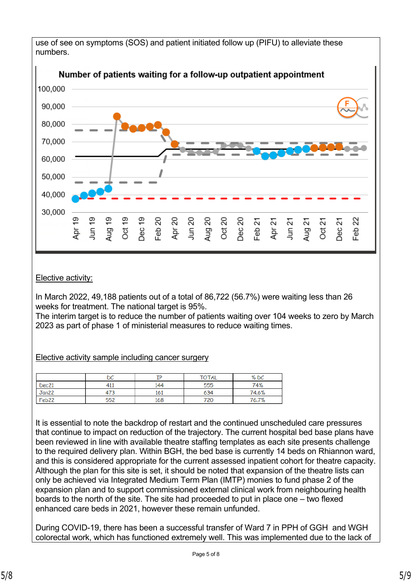use of see on symptoms (SOS) and patient initiated follow up (PIFU) to alleviate these numbers.



# Elective activity:

In March 2022, 49,188 patients out of a total of 86,722 (56.7%) were waiting less than 26 weeks for treatment. The national target is 95%.

The interim target is to reduce the number of patients waiting over 104 weeks to zero by March 2023 as part of phase 1 of ministerial measures to reduce waiting times.

Elective activity sample including cancer surgery

|       | DC  | тn  | <b>TOTAL</b> | $%$ DC |
|-------|-----|-----|--------------|--------|
| Dec21 | 411 | 144 | 555          | 74%    |
| Jan22 | 473 | 161 | 634          | 74.6%  |
| Feb22 | 552 | 168 | 720          | 76.7%  |

It is essential to note the backdrop of restart and the continued unscheduled care pressures that continue to impact on reduction of the trajectory. The current hospital bed base plans have been reviewed in line with available theatre staffing templates as each site presents challenge to the required delivery plan. Within BGH, the bed base is currently 14 beds on Rhiannon ward, and this is considered appropriate for the current assessed inpatient cohort for theatre capacity. Although the plan for this site is set, it should be noted that expansion of the theatre lists can only be achieved via Integrated Medium Term Plan (IMTP) monies to fund phase 2 of the expansion plan and to support commissioned external clinical work from neighbouring health boards to the north of the site. The site had proceeded to put in place one – two flexed enhanced care beds in 2021, however these remain unfunded.

During COVID-19, there has been a successful transfer of Ward 7 in PPH of GGH and WGH colorectal work, which has functioned extremely well. This was implemented due to the lack of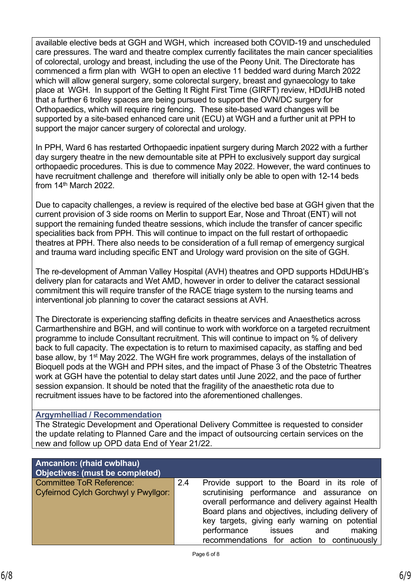available elective beds at GGH and WGH, which increased both COVID-19 and unscheduled care pressures. The ward and theatre complex currently facilitates the main cancer specialities of colorectal, urology and breast, including the use of the Peony Unit. The Directorate has commenced a firm plan with WGH to open an elective 11 bedded ward during March 2022 which will allow general surgery, some colorectal surgery, breast and gynaecology to take place at WGH. In support of the Getting It Right First Time (GIRFT) review, HDdUHB noted that a further 6 trolley spaces are being pursued to support the OVN/DC surgery for Orthopaedics, which will require ring fencing. These site-based ward changes will be supported by a site-based enhanced care unit (ECU) at WGH and a further unit at PPH to support the major cancer surgery of colorectal and urology.

In PPH, Ward 6 has restarted Orthopaedic inpatient surgery during March 2022 with a further day surgery theatre in the new demountable site at PPH to exclusively support day surgical orthopaedic procedures. This is due to commence May 2022. However, the ward continues to have recruitment challenge and therefore will initially only be able to open with 12-14 beds from 14th March 2022.

Due to capacity challenges, a review is required of the elective bed base at GGH given that the current provision of 3 side rooms on Merlin to support Ear, Nose and Throat (ENT) will not support the remaining funded theatre sessions, which include the transfer of cancer specific specialities back from PPH. This will continue to impact on the full restart of orthopaedic theatres at PPH. There also needs to be consideration of a full remap of emergency surgical and trauma ward including specific ENT and Urology ward provision on the site of GGH.

The re-development of Amman Valley Hospital (AVH) theatres and OPD supports HDdUHB's delivery plan for cataracts and Wet AMD, however in order to deliver the cataract sessional commitment this will require transfer of the RACE triage system to the nursing teams and interventional job planning to cover the cataract sessions at AVH.

The Directorate is experiencing staffing deficits in theatre services and Anaesthetics across Carmarthenshire and BGH, and will continue to work with workforce on a targeted recruitment programme to include Consultant recruitment. This will continue to impact on % of delivery back to full capacity. The expectation is to return to maximised capacity, as staffing and bed base allow, by 1<sup>st</sup> May 2022. The WGH fire work programmes, delays of the installation of Bioquell pods at the WGH and PPH sites, and the impact of Phase 3 of the Obstetric Theatres work at GGH have the potential to delay start dates until June 2022, and the pace of further session expansion. It should be noted that the fragility of the anaesthetic rota due to recruitment issues have to be factored into the aforementioned challenges.

# **Argymhelliad / Recommendation**

The Strategic Development and Operational Delivery Committee is requested to consider the update relating to Planned Care and the impact of outsourcing certain services on the new and follow up OPD data End of Year 21/22.

| <b>Amcanion: (rhaid cwblhau)</b><br><b>Objectives: (must be completed)</b> |     |                                                                                                                                                                                                                                                                                                                                            |
|----------------------------------------------------------------------------|-----|--------------------------------------------------------------------------------------------------------------------------------------------------------------------------------------------------------------------------------------------------------------------------------------------------------------------------------------------|
| <b>Committee ToR Reference:</b><br>Cyfeirnod Cylch Gorchwyl y Pwyllgor:    | 2.4 | Provide support to the Board in its role of<br>scrutinising performance and assurance on<br>overall performance and delivery against Health<br>Board plans and objectives, including delivery of<br>key targets, giving early warning on potential<br>performance<br>making<br>issues<br>and<br>recommendations for action to continuously |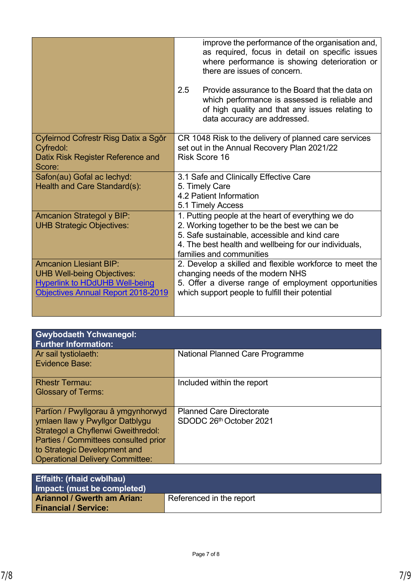|                                       | improve the performance of the organisation and,<br>as required, focus in detail on specific issues<br>where performance is showing deterioration or<br>there are issues of concern.<br>2.5<br>Provide assurance to the Board that the data on<br>which performance is assessed is reliable and<br>of high quality and that any issues relating to<br>data accuracy are addressed. |
|---------------------------------------|------------------------------------------------------------------------------------------------------------------------------------------------------------------------------------------------------------------------------------------------------------------------------------------------------------------------------------------------------------------------------------|
| Cyfeirnod Cofrestr Risg Datix a Sgôr  | CR 1048 Risk to the delivery of planned care services                                                                                                                                                                                                                                                                                                                              |
| Cyfredol:                             | set out in the Annual Recovery Plan 2021/22                                                                                                                                                                                                                                                                                                                                        |
| Datix Risk Register Reference and     | Risk Score 16                                                                                                                                                                                                                                                                                                                                                                      |
| Score:                                |                                                                                                                                                                                                                                                                                                                                                                                    |
| Safon(au) Gofal ac lechyd:            | 3.1 Safe and Clinically Effective Care                                                                                                                                                                                                                                                                                                                                             |
| Health and Care Standard(s):          | 5. Timely Care                                                                                                                                                                                                                                                                                                                                                                     |
|                                       | 4.2 Patient Information                                                                                                                                                                                                                                                                                                                                                            |
|                                       | 5.1 Timely Access                                                                                                                                                                                                                                                                                                                                                                  |
| <b>Amcanion Strategol y BIP:</b>      | 1. Putting people at the heart of everything we do                                                                                                                                                                                                                                                                                                                                 |
| <b>UHB Strategic Objectives:</b>      | 2. Working together to be the best we can be                                                                                                                                                                                                                                                                                                                                       |
|                                       | 5. Safe sustainable, accessible and kind care                                                                                                                                                                                                                                                                                                                                      |
|                                       | 4. The best health and wellbeing for our individuals,                                                                                                                                                                                                                                                                                                                              |
|                                       | families and communities                                                                                                                                                                                                                                                                                                                                                           |
| <b>Amcanion Llesiant BIP:</b>         | 2. Develop a skilled and flexible workforce to meet the                                                                                                                                                                                                                                                                                                                            |
| <b>UHB Well-being Objectives:</b>     | changing needs of the modern NHS                                                                                                                                                                                                                                                                                                                                                   |
| <b>Hyperlink to HDdUHB Well-being</b> | 5. Offer a diverse range of employment opportunities                                                                                                                                                                                                                                                                                                                               |
| Objectives Annual Report 2018-2019    | which support people to fulfill their potential                                                                                                                                                                                                                                                                                                                                    |
|                                       |                                                                                                                                                                                                                                                                                                                                                                                    |

| <b>Gwybodaeth Ychwanegol:</b><br><b>Further Information:</b>                                                                                                                                                                  |                                                            |
|-------------------------------------------------------------------------------------------------------------------------------------------------------------------------------------------------------------------------------|------------------------------------------------------------|
| Ar sail tystiolaeth:<br><b>Evidence Base:</b>                                                                                                                                                                                 | National Planned Care Programme                            |
| <b>Rhestr Termau:</b><br><b>Glossary of Terms:</b>                                                                                                                                                                            | Included within the report                                 |
| Partïon / Pwyllgorau â ymgynhorwyd<br>ymlaen llaw y Pwyllgor Datblygu<br>Strategol a Chyflenwi Gweithredol:<br>Parties / Committees consulted prior<br>to Strategic Development and<br><b>Operational Delivery Committee:</b> | <b>Planned Care Directorate</b><br>SDODC 26th October 2021 |

| <b>Effaith: (rhaid cwblhau)</b><br>Impact: (must be completed)    |                          |
|-------------------------------------------------------------------|--------------------------|
| <b>Ariannol / Gwerth am Arian:</b><br><b>Financial / Service:</b> | Referenced in the report |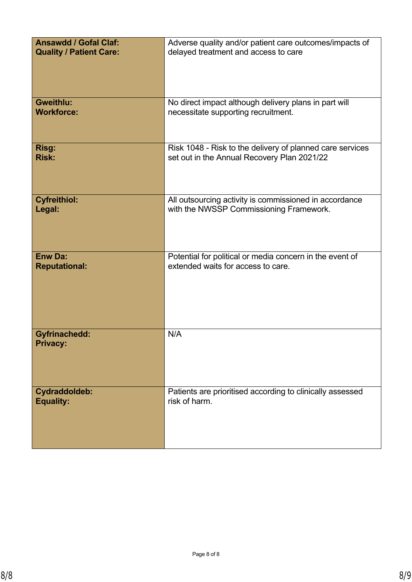| <b>Ansawdd / Gofal Claf:</b>            | Adverse quality and/or patient care outcomes/impacts of   |
|-----------------------------------------|-----------------------------------------------------------|
| <b>Quality / Patient Care:</b>          | delayed treatment and access to care                      |
|                                         |                                                           |
| <b>Gweithlu:</b>                        | No direct impact although delivery plans in part will     |
| <b>Workforce:</b>                       | necessitate supporting recruitment.                       |
| Risg:                                   | Risk 1048 - Risk to the delivery of planned care services |
| <b>Risk:</b>                            | set out in the Annual Recovery Plan 2021/22               |
| <b>Cyfreithiol:</b>                     | All outsourcing activity is commissioned in accordance    |
| Legal:                                  | with the NWSSP Commissioning Framework.                   |
| <b>Enw Da:</b>                          | Potential for political or media concern in the event of  |
| <b>Reputational:</b>                    | extended waits for access to care.                        |
| <b>Gyfrinachedd:</b><br><b>Privacy:</b> | N/A                                                       |
| <b>Cydraddoldeb:</b>                    | Patients are prioritised according to clinically assessed |
| <b>Equality:</b>                        | risk of harm.                                             |